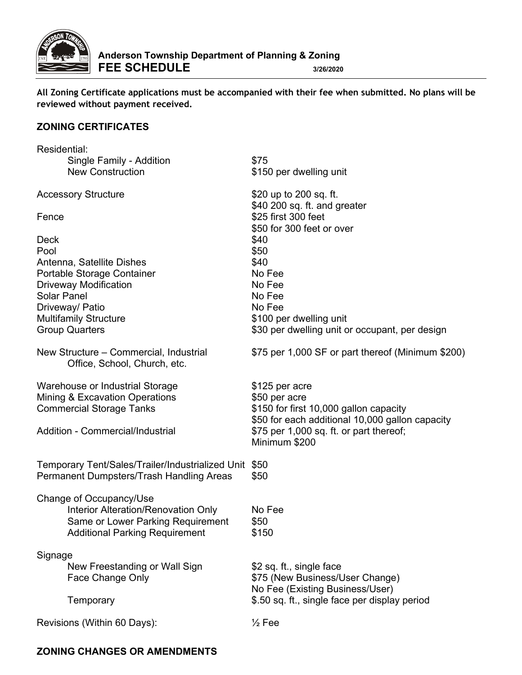

**All Zoning Certificate applications must be accompanied with their fee when submitted. No plans will be reviewed without payment received.**

### **ZONING CERTIFICATES**

| Residential:                                                           |                                                        |
|------------------------------------------------------------------------|--------------------------------------------------------|
| Single Family - Addition                                               | \$75                                                   |
| <b>New Construction</b>                                                | \$150 per dwelling unit                                |
| <b>Accessory Structure</b>                                             | \$20 up to 200 sq. ft.<br>\$40 200 sq. ft. and greater |
| Fence                                                                  | \$25 first 300 feet<br>\$50 for 300 feet or over       |
| <b>Deck</b>                                                            | \$40                                                   |
| Pool                                                                   | \$50                                                   |
| Antenna, Satellite Dishes                                              | \$40                                                   |
| Portable Storage Container                                             | No Fee                                                 |
| <b>Driveway Modification</b>                                           | No Fee                                                 |
| <b>Solar Panel</b>                                                     | No Fee                                                 |
| Driveway/ Patio                                                        | No Fee                                                 |
| <b>Multifamily Structure</b>                                           | \$100 per dwelling unit                                |
| <b>Group Quarters</b>                                                  | \$30 per dwelling unit or occupant, per design         |
| New Structure – Commercial, Industrial<br>Office, School, Church, etc. | \$75 per 1,000 SF or part thereof (Minimum \$200)      |
| Warehouse or Industrial Storage                                        | \$125 per acre                                         |
| Mining & Excavation Operations                                         | \$50 per acre                                          |
| <b>Commercial Storage Tanks</b>                                        | \$150 for first 10,000 gallon capacity                 |
|                                                                        | \$50 for each additional 10,000 gallon capacity        |
| Addition - Commercial/Industrial                                       | $$75$ per 1,000 sq. ft. or part thereof;               |
|                                                                        | Minimum \$200                                          |
|                                                                        |                                                        |
| Temporary Tent/Sales/Trailer/Industrialized Unit \$50                  |                                                        |
| Permanent Dumpsters/Trash Handling Areas                               | \$50                                                   |
| Change of Occupancy/Use                                                |                                                        |
| Interior Alteration/Renovation Only                                    | No Fee                                                 |
| Same or Lower Parking Requirement                                      | \$50                                                   |
| <b>Additional Parking Requirement</b>                                  | \$150                                                  |
|                                                                        |                                                        |
| Signage                                                                |                                                        |
| New Freestanding or Wall Sign                                          | \$2 sq. ft., single face                               |
| Face Change Only                                                       | \$75 (New Business/User Change)                        |
|                                                                        | No Fee (Existing Business/User)                        |
| Temporary                                                              | \$.50 sq. ft., single face per display period          |
| Revisions (Within 60 Days):                                            | $\frac{1}{2}$ Fee                                      |
|                                                                        |                                                        |

## **ZONING CHANGES OR AMENDMENTS**